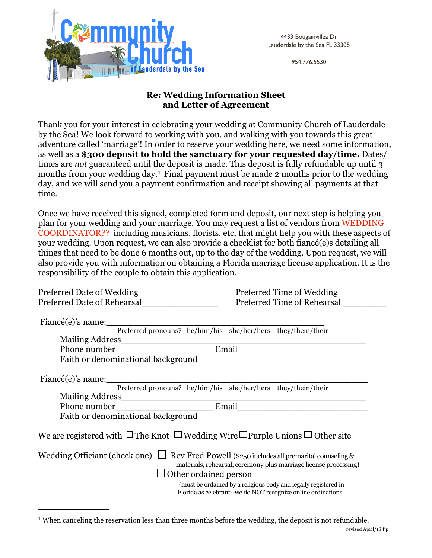

4433 Bougainvillea Dr Lauderdale by the Sea FL 33308

954.776.5530

## **Re: Wedding Information Sheet and Letter of Agreement**

Thank you for your interest in celebrating your wedding at Community Church of Lauderdale by the Sea! We look forward to working with you, and walking with you towards this great adventure called 'marriage'! In order to reserve your wedding here, we need some information, as well as a **\$300 deposit to hold the sanctuary for your requested day/time.** Dates/ times are *not* guaranteed until the deposit is made. This deposit is fully refundable up until 3 months from your wedding day.[1](#page-0-0) Final payment must be made 2 months prior to the wedding day, and we will send you a payment confirmation and receipt showing all payments at that time.

Once we have received this signed, completed form and deposit, our next step is helping you plan for your wedding and your marriage. You may request a list of vendors from WEDDING COORDINATOR?? including musicians, florists, etc, that might help you with these aspects of your wedding. Upon request, we can also provide a checklist for both fiancé(e)s detailing all things that need to be done 6 months out, up to the day of the wedding. Upon request, we will also provide you with information on obtaining a Florida marriage license application. It is the responsibility of the couple to obtain this application.

| Preferred Date of Wedding                                                                         | Preferred Time of Wedding                                                                                                       |  |
|---------------------------------------------------------------------------------------------------|---------------------------------------------------------------------------------------------------------------------------------|--|
| Preferred Date of Rehearsal                                                                       | Preferred Time of Rehearsal                                                                                                     |  |
|                                                                                                   |                                                                                                                                 |  |
|                                                                                                   | Preferred pronouns? he/him/his she/her/hers they/them/their                                                                     |  |
|                                                                                                   |                                                                                                                                 |  |
|                                                                                                   |                                                                                                                                 |  |
|                                                                                                   |                                                                                                                                 |  |
| $Finance(e)$ 's name:                                                                             |                                                                                                                                 |  |
|                                                                                                   | Preferred pronouns? he/him/his she/her/hers they/them/their                                                                     |  |
|                                                                                                   |                                                                                                                                 |  |
|                                                                                                   |                                                                                                                                 |  |
|                                                                                                   |                                                                                                                                 |  |
| We are registered with $\Box$ The Knot $\Box$ Wedding Wire $\Box$ Purple Unions $\Box$ Other site |                                                                                                                                 |  |
| Wedding Officiant (check one) $\Box$ Rev Fred Powell (\$250 includes all premarital counseling &  | materials, rehearsal, ceremony plus marriage license processing)<br>Other ordained person                                       |  |
|                                                                                                   | (must be ordained by a religious body and legally registered in<br>Florida as celebrant--we do NOT recognize online ordinations |  |

<span id="page-0-0"></span><sup>&</sup>lt;sup>1</sup> When canceling the reservation less than three months before the wedding, the deposit is not refundable.